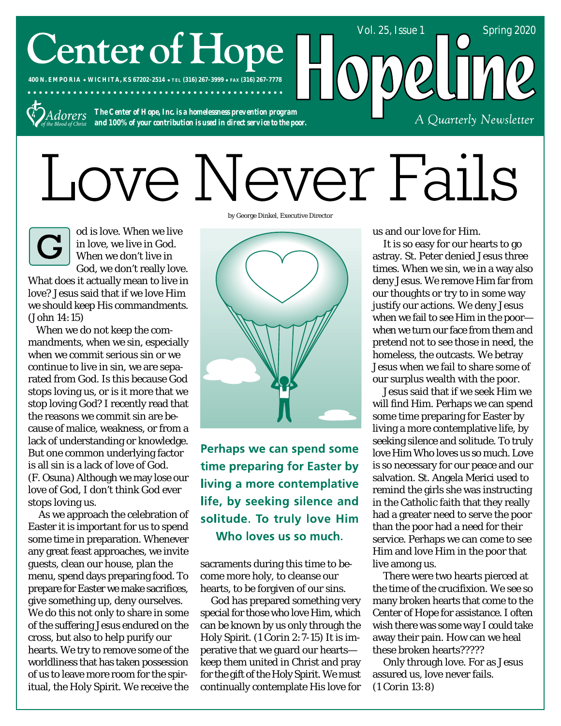# **Center of Hope**

**400 N. EMPORIA WICHITA, KS 67202-2514 TEL (316) 267-3999 FAX (316) 267-7778**



*The Center of Hope, Inc. is a homelessness prevention program and 100% of your contribution is used in direct service to the poor.*

# Love Never Fails

od is love. When we live in love, we live in God. When we don't live in God, we don't really love. What does it actually mean to live in love? Jesus said that if we love Him we should keep His commandments.

*(John 14:15)* When we do not keep the commandments, when we sin, especially when we commit serious sin or we continue to live in sin, we are separated from God. Is this because God stops loving us, or is it more that we stop loving God? I recently read that the reasons we commit sin are because of malice, weakness, or from a lack of understanding or knowledge. But one common underlying factor is all sin is a lack of love of God. *(F. Osuna)* Although we may lose our love of God, I don't think God ever stops loving us.

 As we approach the celebration of Easter it is important for us to spend some time in preparation. Whenever any great feast approaches, we invite guests, clean our house, plan the menu, spend days preparing food. To prepare for Easter we make sacrifices, give something up, deny ourselves. We do this not only to share in some of the suffering Jesus endured on the cross, but also to help purify our hearts. We try to remove some of the worldliness that has taken possession of us to leave more room for the spiritual, the Holy Spirit. We receive the by George Dinkel, Executive Director



Perhaps we can spend some time preparing for Easter by living a more contemplative life, by seeking silence and solitude. To truly love Him Who loves us so much.

sacraments during this time to become more holy, to cleanse our hearts, to be forgiven of our sins.

 God has prepared something very special for those who love Him, which can be known by us only through the Holy Spirit. *(1 Corin 2:7-15)* It is imperative that we guard our hearts keep them united in Christ and pray for the gift of the Holy Spirit. We must continually contemplate His love for

us and our love for Him.

Vol. 25, Issue 1 Spring 2020

A Quarterly Newsletter

 It is so easy for our hearts to go astray. St. Peter denied Jesus three times. When we sin, we in a way also deny Jesus. We remove Him far from our thoughts or try to in some way justify our actions. We deny Jesus when we fail to see Him in the poor when we turn our face from them and pretend not to see those in need, the homeless, the outcasts. We betray Jesus when we fail to share some of our surplus wealth with the poor.

 Jesus said that if we seek Him we will find Him. Perhaps we can spend some time preparing for Easter by living a more contemplative life, by seeking silence and solitude. To truly love Him Who loves us so much. Love is so necessary for our peace and our salvation. St. Angela Merici used to remind the girls she was instructing in the Catholic faith that they really had a greater need to serve the poor than the poor had a need for their service. Perhaps we can come to see Him and love Him in the poor that live among us.

 There were two hearts pierced at the time of the crucifixion. We see so many broken hearts that come to the Center of Hope for assistance. I often wish there was some way I could take away their pain. How can we heal these broken hearts?????

 Only through love. For as Jesus assured us, love never fails. *(1 Corin 13:8)*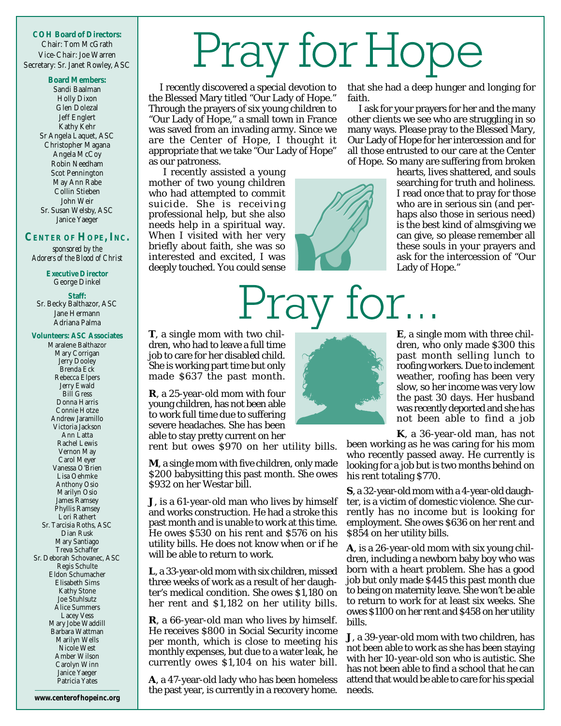**COH Board of Directors:** Chair: Tom McGrath Vice-Chair: Joe Warren Secretary: Sr. Janet Rowley, ASC

#### **Board Members:**

Sandi Baalman Holly Dixon Glen Dolezal Jeff Englert Kathy Kehr Sr Angela Laquet, ASC Christopher Magana Angela McCoy Robin Needham Scot Pennington May Ann Rabe Collin Stieben John Weir Sr. Susan Welsby, ASC Janice Yaeger

#### **CENTER OF HOPE, INC.**

*sponsored by the Adorers of the Blood of Christ*

> **Executive Director** George Dinkel

**Staff:** Sr. Becky Balthazor, ASC Jane Hermann Adriana Palma

#### **Volunteers: ASC Associates**

Maralene Balthazor Mary Corrigan Jerry Dooley Brenda Eck Rebecca Elpers Jerry Ewald Bill Gress Donna Harris Connie Hotze Andrew Jaramillo Victoria Jackson Ann Latta Rachel Lewis Vernon May Carol Meyer Vanessa O'Brien Lisa Oehmke Anthony Osio Marilyn Osio James Ramsey Phyllis Ramsey Lori Rathert Sr. Tarcisia Roths, ASC Dian Rusk Mary Santiago Treva Schaffer Sr. Deborah Schovanec, ASC Regis Schulte Eldon Schumacher Elisabeth Sims Kathy Stone Joe Stuhlsutz Alice Summers Lacey Vess Mary Jobe Waddill Barbara Wattman Marilyn Wells Nicole West Amber Wilson Carolyn Winn Janice Yaeger Patricia Yates

**www.centerof hopeinc.org**

# Pray for Hope

I recently discovered a special devotion to the Blessed Mary titled "Our Lady of Hope." Through the prayers of six young children to "Our Lady of Hope," a small town in France was saved from an invading army. Since we are the Center of Hope, I thought it appropriate that we take "Our Lady of Hope" as our patroness.

 I recently assisted a young mother of two young children who had attempted to commit suicide. She is receiving professional help, but she also needs help in a spiritual way. When I visited with her very briefly about faith, she was so interested and excited, I was deeply touched. You could sense



<sup>J</sup>ray

that she had a deep hunger and longing for faith.

I ask for your prayers for her and the many other clients we see who are struggling in so many ways. Please pray to the Blessed Mary, Our Lady of Hope for her intercession and for all those entrusted to our care at the Center of Hope. So many are suffering from broken

> hearts, lives shattered, and souls searching for truth and holiness. I read once that to pray for those who are in serious sin (and perhaps also those in serious need) is the best kind of almsgiving we can give, so please remember all these souls in your prayers and ask for the intercession of "Our Lady of Hope."

**T**, a single mom with two children, who had to leave a full time job to care for her disabled child. She is working part time but only made \$637 the past month.

**R**, a 25-year-old mom with four young children, has not been able to work full time due to suffering severe headaches. She has been able to stay pretty current on her

rent but owes \$970 on her utility bills.

**M**, a single mom with five children, only made \$200 babysitting this past month. She owes \$932 on her Westar bill.

**J**, is a 61-year-old man who lives by himself and works construction. He had a stroke this past month and is unable to work at this time. He owes \$530 on his rent and \$576 on his utility bills. He does not know when or if he will be able to return to work.

**L**, a 33-year-old mom with six children, missed three weeks of work as a result of her daughter's medical condition. She owes \$1,180 on her rent and \$1,182 on her utility bills.

**R**, a 66-year-old man who lives by himself. He receives \$800 in Social Security income per month, which is close to meeting his monthly expenses, but due to a water leak, he currently owes \$1,104 on his water bill.

**A**, a 47-year-old lady who has been homeless the past year, is currently in a recovery home.



for.

**E**, a single mom with three children, who only made \$300 this past month selling lunch to roofing workers. Due to inclement weather, roofing has been very slow, so her income was very low the past 30 days. Her husband was recently deported and she has not been able to find a job

**K**, a 36-year-old man, has not

been working as he was caring for his mom who recently passed away. He currently is looking for a job but is two months behind on his rent totaling \$770.

**S**, a 32-year-old mom with a 4-year-old daughter, is a victim of domestic violence. She currently has no income but is looking for employment. She owes \$636 on her rent and \$854 on her utility bills.

**A**, is a 26-year-old mom with six young children, including a newborn baby boy who was born with a heart problem. She has a good job but only made \$445 this past month due to being on maternity leave. She won't be able to return to work for at least six weeks. She owes \$1100 on her rent and \$458 on her utility bills.

**J**, a 39-year-old mom with two children, has not been able to work as she has been staying with her 10-year-old son who is autistic. She has not been able to find a school that he can attend that would be able to care for his special needs.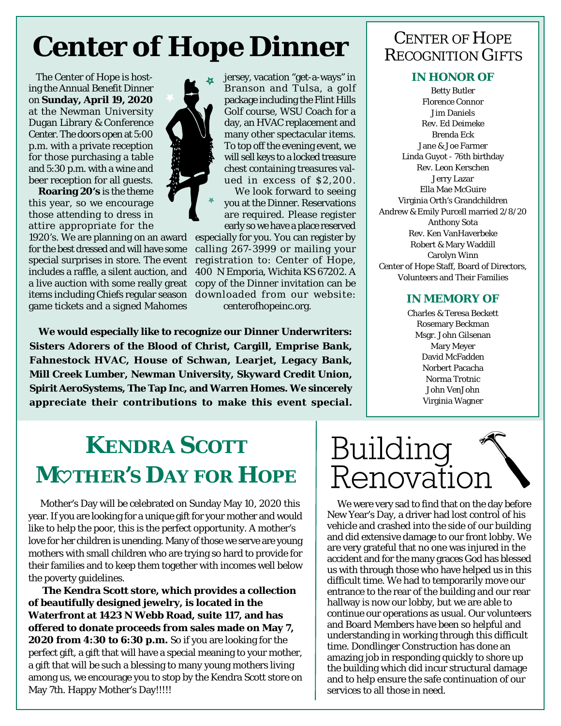## **Center of Hope Dinner RECOGNITION GIFTS**

The Center of Hope is hosting the Annual Benefit Dinner on **Sunday, April 19, 2020** at the Newman University Dugan Library & Conference Center. The doors open at 5:00 p.m. with a private reception for those purchasing a table and 5:30 p.m. with a wine and beer reception for all guests.

 **Roaring 20's** is the theme this year, so we encourage those attending to dress in attire appropriate for the

1920's. We are planning on an award for the best dressed and will have some special surprises in store. The event includes a raffle, a silent auction, and a live auction with some really great items including Chiefs regular season game tickets and a signed Mahomes

jersey, vacation "get-a-ways" in Branson and Tulsa, a golf package including the Flint Hills Golf course, WSU Coach for a day, an HVAC replacement and many other spectacular items. To top off the evening event, we will sell keys to a locked treasure chest containing treasures valued in excess of \$2,200. We look forward to seeing you at the Dinner. Reservations are required. Please register

early so we have a place reserved especially for you. You can register by calling 267-3999 or mailing your registration to: Center of Hope, 400 N Emporia, Wichita KS 67202. A copy of the Dinner invitation can be downloaded from our website: centerofhopeinc.org.

**We would especially like to recognize our Dinner Underwriters: Sisters Adorers of the Blood of Christ, Cargill, Emprise Bank, Fahnestock HVAC, House of Schwan, Learjet, Legacy Bank, Mill Creek Lumber, Newman University, Skyward Credit Union, Spirit AeroSystems, The Tap Inc, and Warren Homes. We sincerely appreciate their contributions to make this event special.**

#### **IN HONOR OF**

Betty Butler Florence Connor Jim Daniels Rev. Ed Deimeke Brenda Eck Jane & Joe Farmer Linda Guyot - 76th birthday Rev. Leon Kerschen Jerry Lazar Ella Mae McGuire Virginia Orth's Grandchildren Andrew & Emily Purcell married 2/8/20 Anthony Sota Rev. Ken VanHaverbeke Robert & Mary Waddill Carolyn Winn Center of Hope Staff, Board of Directors, Volunteers and Their Families

#### **IN MEMORY OF**

Charles & Teresa Beckett Rosemary Beckman Msgr. John Gilsenan Mary Meyer David McFadden Norbert Pacacha Norma Trotnic John VenJohn Virginia Wagner

## **KENDRA SCOTT M THER'S DAY FOR HOPE**

Mother's Day will be celebrated on Sunday May 10, 2020 this year. If you are looking for a unique gift for your mother and would like to help the poor, this is the perfect opportunity. A mother's love for her children is unending. Many of those we serve are young mothers with small children who are trying so hard to provide for their families and to keep them together with incomes well below the poverty guidelines.

**The Kendra Scott store, which provides a collection of beautifully designed jewelry, is located in the Waterfront at 1423 N Webb Road, suite 117, and has offered to donate proceeds from sales made on May 7, 2020 from 4:30 to 6:30 p.m.** So if you are looking for the perfect gift, a gift that will have a special meaning to your mother, a gift that will be such a blessing to many young mothers living among us, we encourage you to stop by the Kendra Scott store on May 7th. Happy Mother's Day!!!!!

## Building Renovatio:

We were very sad to find that on the day before New Year's Day, a driver had lost control of his vehicle and crashed into the side of our building and did extensive damage to our front lobby. We are very grateful that no one was injured in the accident and for the many graces God has blessed us with through those who have helped us in this difficult time. We had to temporarily move our entrance to the rear of the building and our rear hallway is now our lobby, but we are able to continue our operations as usual. Our volunteers and Board Members have been so helpful and understanding in working through this difficult time. Dondlinger Construction has done an amazing job in responding quickly to shore up the building which did incur structural damage and to help ensure the safe continuation of our services to all those in need.